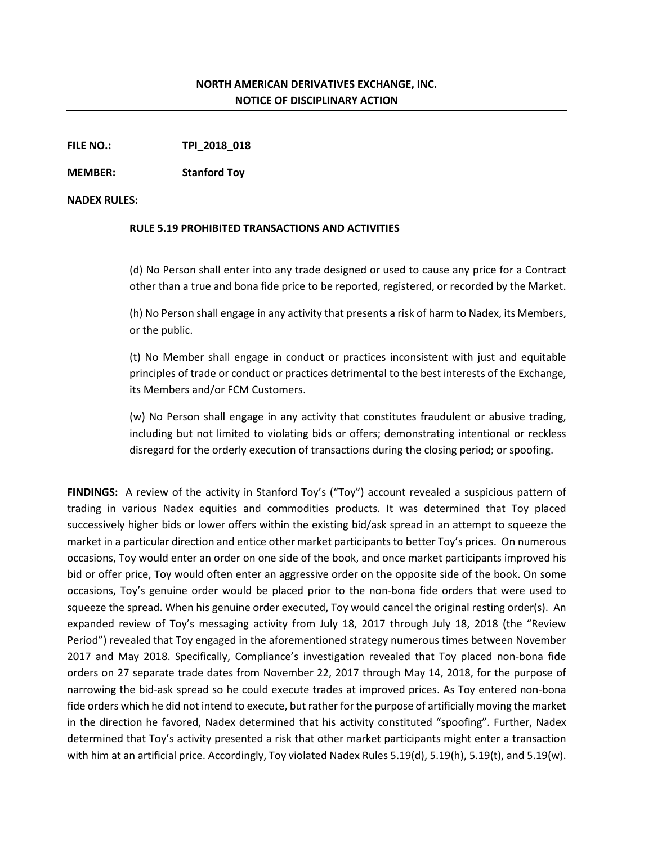## **NORTH AMERICAN DERIVATIVES EXCHANGE, INC. NOTICE OF DISCIPLINARY ACTION**

**FILE NO.: TPI\_2018\_018**

**MEMBER: Stanford Toy**

## **NADEX RULES:**

## **RULE 5.19 PROHIBITED TRANSACTIONS AND ACTIVITIES**

(d) No Person shall enter into any trade designed or used to cause any price for a Contract other than a true and bona fide price to be reported, registered, or recorded by the Market.

(h) No Person shall engage in any activity that presents a risk of harm to Nadex, its Members, or the public.

(t) No Member shall engage in conduct or practices inconsistent with just and equitable principles of trade or conduct or practices detrimental to the best interests of the Exchange, its Members and/or FCM Customers.

(w) No Person shall engage in any activity that constitutes fraudulent or abusive trading, including but not limited to violating bids or offers; demonstrating intentional or reckless disregard for the orderly execution of transactions during the closing period; or spoofing.

**FINDINGS:** A review of the activity in Stanford Toy's ("Toy") account revealed a suspicious pattern of trading in various Nadex equities and commodities products. It was determined that Toy placed successively higher bids or lower offers within the existing bid/ask spread in an attempt to squeeze the market in a particular direction and entice other market participants to better Toy's prices. On numerous occasions, Toy would enter an order on one side of the book, and once market participants improved his bid or offer price, Toy would often enter an aggressive order on the opposite side of the book. On some occasions, Toy's genuine order would be placed prior to the non-bona fide orders that were used to squeeze the spread. When his genuine order executed, Toy would cancel the original resting order(s). An expanded review of Toy's messaging activity from July 18, 2017 through July 18, 2018 (the "Review Period") revealed that Toy engaged in the aforementioned strategy numerous times between November 2017 and May 2018. Specifically, Compliance's investigation revealed that Toy placed non-bona fide orders on 27 separate trade dates from November 22, 2017 through May 14, 2018, for the purpose of narrowing the bid-ask spread so he could execute trades at improved prices. As Toy entered non-bona fide orders which he did not intend to execute, but rather for the purpose of artificially moving the market in the direction he favored, Nadex determined that his activity constituted "spoofing". Further, Nadex determined that Toy's activity presented a risk that other market participants might enter a transaction with him at an artificial price. Accordingly, Toy violated Nadex Rules 5.19(d), 5.19(h), 5.19(t), and 5.19(w).